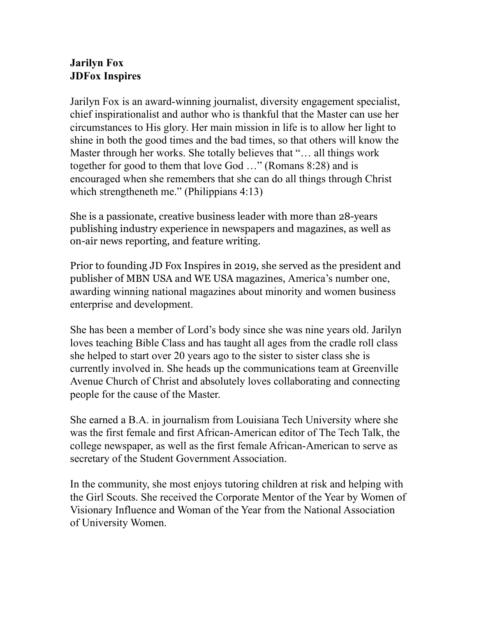## **Jarilyn Fox JDFox Inspires**

Jarilyn Fox is an award-winning journalist, diversity engagement specialist, chief inspirationalist and author who is thankful that the Master can use her circumstances to His glory. Her main mission in life is to allow her light to shine in both the good times and the bad times, so that others will know the Master through her works. She totally believes that "… all things work together for good to them that love God …" (Romans 8:28) and is encouraged when she remembers that she can do all things through Christ which strengtheneth me." (Philippians 4:13)

She is a passionate, creative business leader with more than 28-years publishing industry experience in newspapers and magazines, as well as on-air news reporting, and feature writing.

Prior to founding JD Fox Inspires in 2019, she served as the president and publisher of MBN USA and WE USA magazines, America's number one, awarding winning national magazines about minority and women business enterprise and development.

She has been a member of Lord's body since she was nine years old. Jarilyn loves teaching Bible Class and has taught all ages from the cradle roll class she helped to start over 20 years ago to the sister to sister class she is currently involved in. She heads up the communications team at Greenville Avenue Church of Christ and absolutely loves collaborating and connecting people for the cause of the Master.

She earned a B.A. in journalism from Louisiana Tech University where she was the first female and first African-American editor of The Tech Talk, the college newspaper, as well as the first female African-American to serve as secretary of the Student Government Association.

In the community, she most enjoys tutoring children at risk and helping with the Girl Scouts. She received the Corporate Mentor of the Year by Women of Visionary Influence and Woman of the Year from the National Association of University Women.